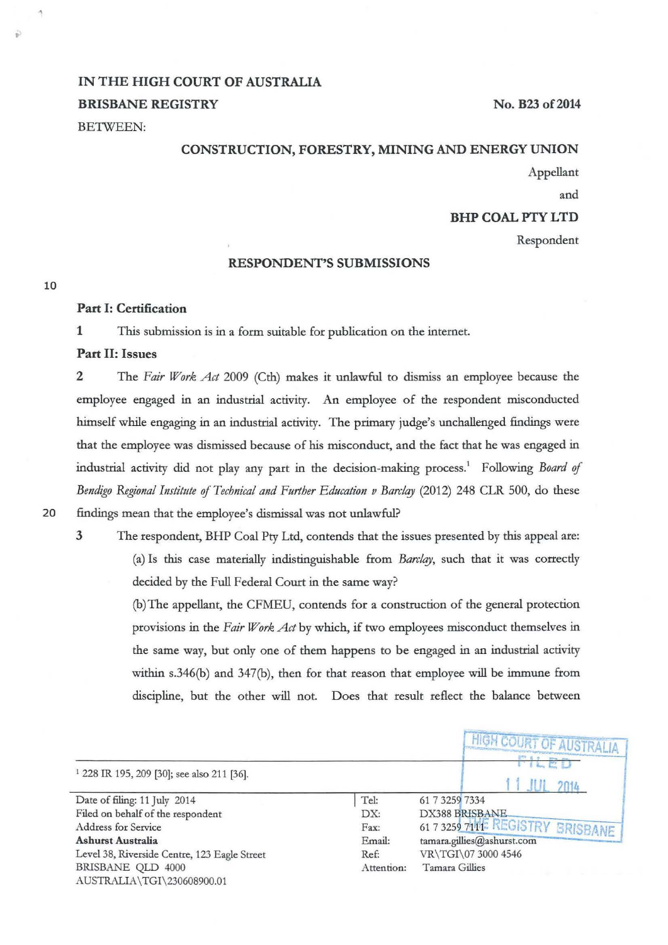# IN THE HIGH COURT OF AUSTRALIA BRISBANE REGISTRY

BETWEEN:

#### CONSTRUCTION, FORESTRY, MINING AND ENERGY UNION

Appellant

No. B23 of 2014

and

#### BHP COAL PTY LTD

Respondent

#### RESPONDENT'S SUBMISSIONS

10

..

# Part I: Certification

1 This submission is in a form suitable for publication on the internet.

#### Part II: Issues

2 The *Fair Work Act* 2009 (Cth) makes it unlawful to dismiss an employee because the employee engaged in an industrial activity. An employee of the respondent misconducted himself while engaging in an industrial activity. The primary judge's unchallenged findings were that the employee was dismissed because of his misconduct, and the fact that he was engaged in industrial activity did not play any part in the decision-making process. 1 Following *Board* of Bendigo Regional Institute of *Technical and Further Education v Barclay* (2012) 248 CLR 500, do these

# 20 findings mean that the employee's dismissal was not unlawful?

3 The respondent, BHP Coal Pty Ltd, contends that the issues presented by this appeal are: (a) Is this case materially indistinguishable from *Barclay*, such that it was correctly decided by the Full Federal Court in the same way?

> (b)The appellant, the CFMEU, contends for a construction of the general protection provisions in the *Fair Work Act* by which, if two employees misconduct themselves in the same way, but only one of them happens to be engaged in an industrial activity within s.346(b) and 347(b), then for that reason that employee will be immune from discipline, but the other will not. Does that result reflect the balance between

|                                                       |            | <b>HIGH COURT OF AUSTRALIA</b>  |
|-------------------------------------------------------|------------|---------------------------------|
| <sup>1</sup> 228 IR 195, 209 [30]; see also 211 [36]. |            |                                 |
| Date of filing: 11 July 2014                          | Tel:       | 61 7 3259 7334                  |
| Filed on behalf of the respondent                     | DX:        | DX388 BRISBANE                  |
| Address for Service                                   | Fax:       | 61 7 3259 711 REGISTRY BRISBANE |
| <b>Ashurst Australia</b>                              | Email:     | tamara.gillies@ashurst.com      |
| Level 38, Riverside Centre, 123 Eagle Street          | Ref:       | VR\TGI\07 3000 4546             |
| BRISBANE QLD 4000                                     | Attention: | Tamara Gillies                  |
| AUSTRALIA\TGI\230608900.01                            |            |                                 |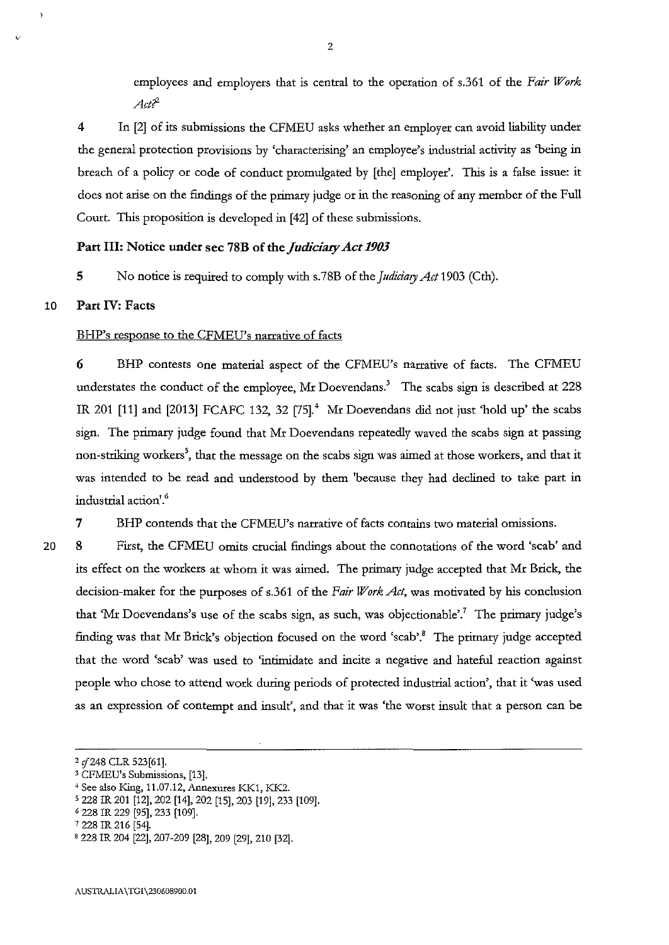employees and employers that is central to the operation of s.361 of the *Fair Work Act?'* 

4 In [2] of its submissions the CFMEU asks whether an employer can avoid liability under the general protection provisions by 'characterising' an employee's industrial activity as 'being in breach of a policy or code of conduct promulgated by [the] employer'. *This* is a false issue: it does not arise on the findings of the primary judge or in the reasoning of any member of the Full Court. *This* proposition is developed in [42] of these submissions.

## Part III: Notice under sec 78B of the *Judiciary Act 1903*

5 No notice is required to comply with s.78B of the *Judiciary Act* 1903 (Cth).

## 10 Part IV: Facts

20

#### BHP's response to the CFMEU's narrative of facts

6 BHP contests one material aspect of the CFMEU's narrative of facts. The CFMEU understates the conduct of the employee, Mr Doevendans.<sup>3</sup> The scabs sign is described at 228 IR 201 [11] and [2013] FCAFC 132, 32 [75].<sup>4</sup> Mr Doevendans did not just 'hold up' the scabs sign. The primary judge found that Mr Doevendans repeatedly waved the scabs sign at passing non-striking workers<sup>5</sup>, that the message on the scabs sign was aimed at those workers, and that it was intended to be read and understood by them 'because they had declined to take part in industrial action'.<sup>6</sup>

7 BHP contends that the CFMEU's narrative of facts contains two material omissions.

8 First, the CFMEU omits crucial findings about the connotations of the word 'scab' and its effect on the workers at whom it was aimed. The primary judge accepted that Mr Brick, the decision-maker for the purposes of s.361 of the *Fair Work Act,* was motivated by his conclusion that 'Mr Doevendans's use of the scabs sign, as such, was objectionable'.<sup>7</sup> The primary judge's finding was that Mr Brick's objection focused on the word 'scab'.<sup>8</sup> The primary judge accepted that the word 'scab' was used to 'intimidate and incite a negative and hateful reaction against people who chose to attend work during periods of protected industrial action', that it 'was used as an expression of contempt and insult', and that it was 'the worst insult that a person can be

*z* if248 CLR 523(61].

<sup>3</sup> CFMEU's Submissions, [13].

<sup>+</sup>See also King, 11.07.12, Annexures KK1, KK2.

s 228 IR 201 [12], 202 [14], 202 [15], 203 [19], 233 [109]. 6 228 IR 229 [95], 233 [109].

<sup>7 228</sup> IR 216 [54].

<sup>&#</sup>x27;228 IR 204 [22], 207-209 (28], 209 [29], 210 [32].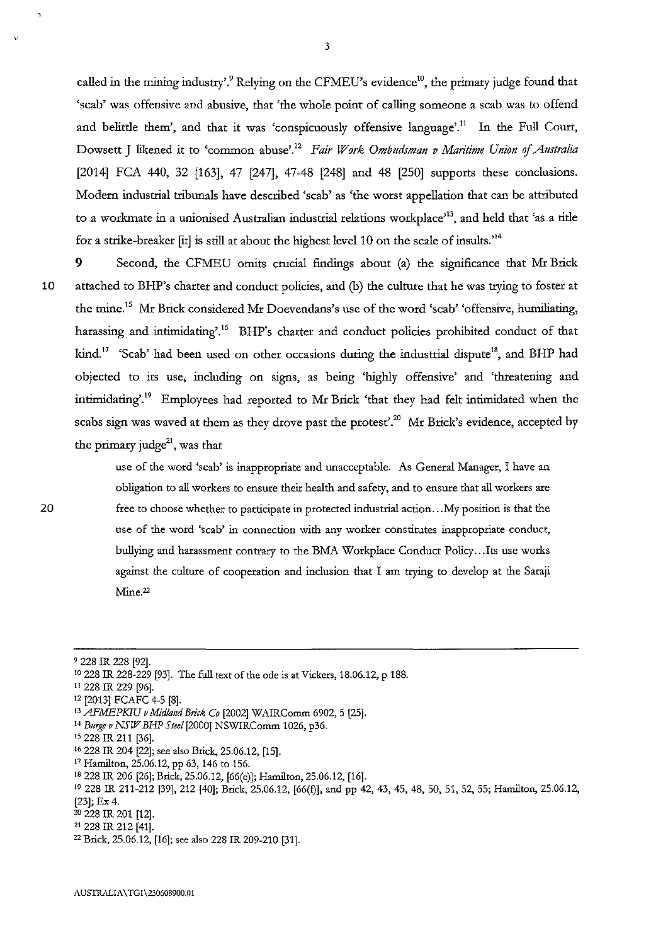called in the mining industry'.<sup>9</sup> Relying on the CFMEU's evidence<sup>10</sup>, the primary judge found that 'scab' was offensive and abusive, that 'the whole point of calling someone a scab was to offend and belittle them', and that it was 'conspicuously offensive language'.<sup>11</sup> In the Full Court, Dowsett J likened it to 'common abuse'.<sup>12</sup> Fair Work Ombudsman v Maritime Union of Australia [2014] FCA 440, 32 [163], 47 [247], 47-48 [248] and 48 [250] supports these conclusions. Modem industrial tribunals have described 'scab' as 'the worst appellation that can be attributed to a workmate in a unionised Australian industrial relations workplace<sup>313</sup>, and held that 'as a title for a strike-breaker [it] is still at about the highest level 10 on the scale of insults.'14

**9** Second, the CFMEU omits crucial findings about (a) the significance that Mr Brick 10 attached to BHP's charter and conduct policies, and (b) the culture that he was trying to foster at the mine.<sup>15</sup> Mr Brick considered Mr Doevendans's use of the word 'scab' 'offensive, humiliating, harassing and intimidating'.<sup>16</sup> BHP's charter and conduct policies prohibited conduct of that kind.<sup>17</sup> 'Scab' had been used on other occasions during the industrial dispute<sup>18</sup>, and BHP had objected to its use, including on signs, as being 'highly offensive' and 'threatening and intimidating'." Employees had reported to Mr Brick 'that they had felt intimidated when the scabs sign was waved at them as they drove past the protest'.<sup>20</sup> Mr Brick's evidence, accepted by the primary judge $^{21}$ , was that

> use of the word 'scab' is inappropriate and unacceptable. As General Manager, I have an obligation to all workers to ensure their health and safety, and to ensure that all workers are free to choose whether to participate in protected industrial action ... My position is that the **use of the word 'scab' in connection with any worker constitutes inappropriate conduct,**  bullying and harassment contrary to the BMA Workplace Conduct Policy ... Its use works against the culture of cooperation and inclusion that I am trying to develop at the Saraji  $Mine<sup>22</sup>$

- 
- <sup>15</sup> 228 IR 211 [36].
- 16 228 IR 204 [22]; see also Brick, 25.06.12, [15].
- 17 Hamilton, 25.06.12, pp 63, 146 to 156.
- 
- IS 228 IR 206 [26]; Brick, 25.06.12, [66(e)]; Hamilton, 25.06.12, [16]. 19 228 IR 211-212 [39], 212 [40]; Brick, 25.06.12, [66(£)], and pp 42, 43, 45, 48, 50, 51, 52, 55; Hamilton, 25.06.12, [23]; Ex 4.
- zo 228 IR 201 [12].

<sup>&#</sup>x27; 228 IR 228 (92]. 10 228 IR 228-229 [93]. The full text of the ode is at Vickers, 18.06.12, p 188. 11 228 IR 229 [96].

<sup>&#</sup>x27;' [2013] FCAFC 4-5 [8]. 13 *AFMEPKIU v Midfa11d Brick Co* [2002] WAIRComm 6902, 5 [25]. 14 *Burge v NS!I7 BHP S tee/* (2000] NSWIRComm 1026, p36.

<sup>21 228</sup> IR 212 [41]. 22 Brick, 25.06.12, [16]; see also 228 IR 209-210 [31].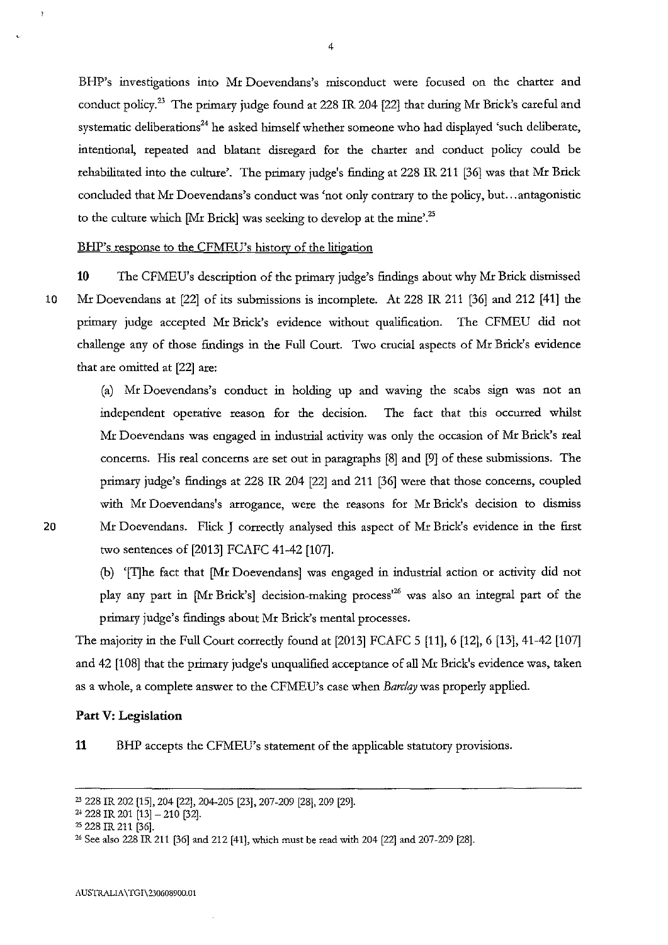BHP's investigations into Mr Doevendans's misconduct were focused on the charter and conduct policy. 23 The primary judge found at 228 IR 204 [22] that during Mr Brick's careful and systematic deliberations<sup>24</sup> he asked himself whether someone who had displayed 'such deliberate, intentional, repeated and blatant disregard for the charter and conduct policy could be rehabilitated into the culture'. The primary judge's finding at 228 IR 211 [36] was that Mr Brick concluded that Mr Doevendans's conduct was 'not only contrary to the policy, but ... antagonistic to the culture which [Mr Brick] was seeking to develop at the mine'.<sup>25</sup>

#### BHP's response to the CFMEU's history of the litigation

**10** The CFMEU's description of the primary judge's findings about why Mr Brick dismissed 10 Mr Doevendans at [22] of its submissions is incomplete. At 228 IR 211 [36] and 212 [41] the primary judge accepted Mr Brick's evidence without qualification. The CFMEU did not challenge any of those findings in the Full Court. Two crucial aspects of Mr Brick's evidence that are omitted at [22] are:

(a) Mr Doevendans's conduct in holding up and waving the scabs sign was not an independent operative reason for the decision. The fact that this occurred whilst Mr Doevendans was engaged in industrial activity was only the occasion of Mr Brick's real concerns. His real concerns are set out in paragraphs [8] and [9] of these submissions. The primary judge's findings at 228 IR 204 [22] and 211 [36] were that those concerns, coupled with Mr Doevendans's arrogance, were the reasons for Mr Brick's decision to dismiss 20 Mr Doevendans. Flick J correctly analysed this aspect of Mr Brick's evidence in the first two sentences of [2013] FCAFC 41-42 [107].

> (b) '[I]he fact that [Mr Doevendans] was engaged in industrial action or activity did not play any part in [Mr Brick's] decision-making process<sup>126</sup> was also an integral part of the primary judge's findings about Mr Brick's mental processes.

The majority in the Full Court correcdy found at [2013] FCAFC 5 [11], 6 [12], 6 [13], 41-42 [107] and 42 [1 08] that the primary judge's unqualified acceptance of all Mr Brick's evidence was, taken as a whole, a complete answer to the CFMEU's case when *Barclay* was properly applied.

#### **Part V: Legislation**

**11** BHP accepts the CFMEU's statement of the applicable statutory provisions.

 $\mathbf{r}$ 

<sup>23 228</sup> IR 202 [15], 204 [22], 204-205 [23], 207-209 [28], 209 [29].

 $24$  228 IR 201 [13] - 210 [32].

<sup>25 228</sup> IR 211 [36].

<sup>26</sup>See also 228 IR 211 [36] and 212 [41], which must be read with 204 [22] and 207-209 [28].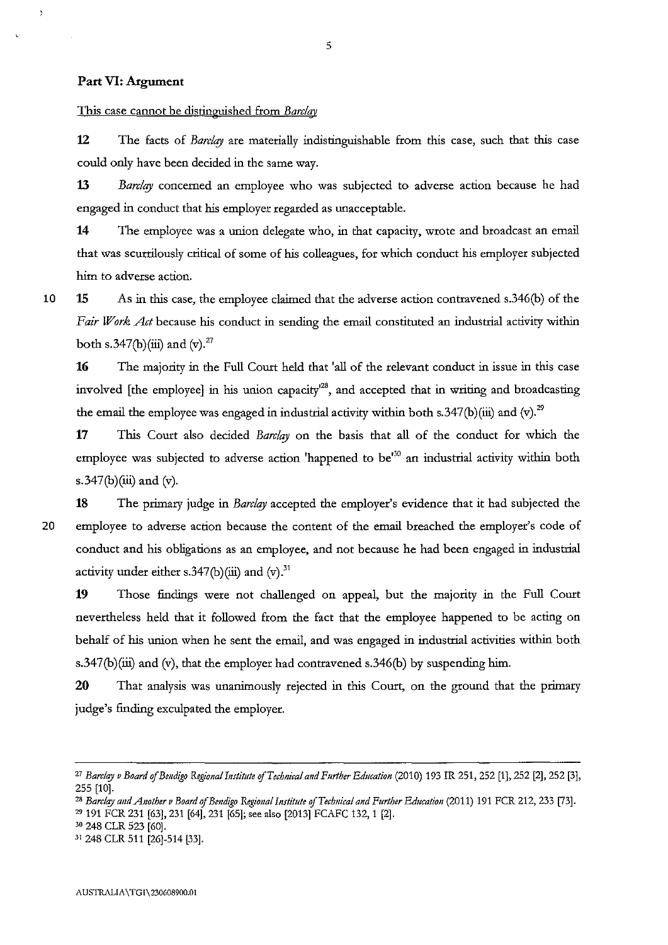## **Part VI: Argument**

This case cannot be distinguished from *Barclav* 

**12** The facts of *Barclay* are materially indistinguishable from this case, such that this case could only have been decided in the same way.

**13** *Barclay* concerned an employee who was subjected to adverse action because he had engaged in conduct that his employer regarded as unacceptable.

**14** The employee was a union delegate who, in that capacity, wrote and broadcast an email that was scurrilously critical of some of his colleagues, for which conduct his employer subjected him to adverse action.

10

 $\overline{ }$ 

**15** As in this case, the employee claimed that the adverse action contravened s.346(b) of the Fair Work Act because his conduct in sending the email constituted an industrial activity within both s.347(b)(iii) and (v).<sup>27</sup>

**16** The majority in the Full Court held that 'all of the relevant conduct in issue in this case involved [the employee] in his union capacity<sup>128</sup>, and accepted that in writing and broadcasting the email the employee was engaged in industrial activity within both s.347(b)(iii) and (v).<sup>29</sup>

**17** This Court also decided *Barclay* on the basis that all of the conduct for which the employee was subjected to adverse action 'happened to be<sup>30</sup> an industrial activity within both s.347(b)(iii) and  $(v)$ .

**18** The primary judge in *Barclay* accepted the employer's evidence that it had subjected the 20 employee to adverse action because the content of the email breached the employer's code of conduct and his obligations as an employee, and not because he had been engaged in industrial activity under either s.347(b)(iii) and  $(v)$ .<sup>31</sup>

**19** Those findings were not challenged on appeal, but the majority in the Full Court nevertheless held that it followed from the fact that the employee happened to be acting on behalf of his union when he sent the email, and was engaged in industrial activities within both s.347(b)(iii) and (v), that the employer had contravened s.346(b) by suspending him.

**20** That analysis was unanimously rejected in this Court, on the ground that the primary judge's finding exculpated the employer.

<sup>&</sup>lt;sup>27</sup> Barclay v Board of Bendigo Regional Institute of Technical and Further Education (2010) 193 IR 251, 252 [1], 252 [2], 252 [3], 255 [10].<br><sup>28</sup> Barclay and Another v Board of Bendigo Regional Institute of Technical and Further Education (2011) 191 FCR 212, 233 [73].

<sup>29 191</sup> FCR 231 [63], 231 [64], 231 [65]; see also [2013] FCAFC 132, 1 [2].

<sup>30 248</sup> CLR 523 [60].

<sup>3</sup>t 248 CLR 511 [26]-514 [33].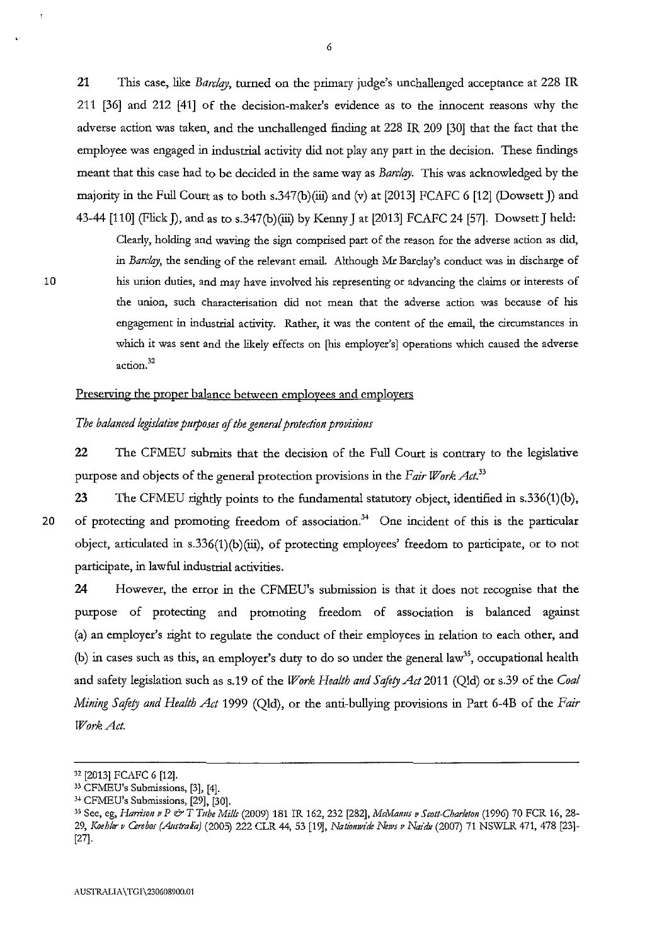**21** This case, like *Barclqy,* turned on the primary judge's unchallenged acceptance at 228 IR 211 [36] and 212 [41] of the decision-maker's evidence as to the innocent reasons why the adverse action was taken, and the unchallenged finding at 228 IR 209 [30] that the fact that the employee was engaged in industrial activity did not play any part in the decision. These findings meant that this case had to be decided in the same way as *Barclqy.* This was aclmowledged by the majority in the Full Court as to both s.347(b)(iii) and (v) at [2013] FCAFC 6 [12] (Dowsett J) and 43-44 [110] (Flick ]), and as to s.347(b)(iii) by Kenny J at [2013] FCAFC 24 [57]. Dowsett J held:

Clearly, holding and waving the sign comprised part of the reason for the adverse action as did, in *Barclay,* the sending of the relevant email. Although Mr Barclay's conduct was in discharge of his union duties, and may have involved his representing or advancing the claims or interests of **the union, such characterisation did not mean that the adverse action was because of his engagement in industrial activity. Rather, it was the content of the email, the circumstances in**  which it was sent and the likely effects on [his employer's] operations which caused the adverse **action.<sup>32</sup>**

#### Preserving the proper balance between employees and employers

#### *The balanced legislative pmposes* of *the gmeraf protection provisions*

**22** The CFMEU submits that the decision of the Full Court is conttary to the legislative purpose and objects of the general protection provisions in the *Fair Work Act.33* 

10

**23** The CFMEU righdy points to the fundamental statutory object, identified in s.336(1)(b), 20 of protecting and promoting freedom of association.<sup>34</sup> One incident of this is the particular object, articulated in s.336(1)(b)(iii), of protecting employees' freedom to participate, or to not participate, in lawful industrial activities.

**24** However, the error in the CFMEU's submission is that it does not recognise that the purpose of protecting and promoting freedom of association is balanced against (a) an employer's right to regulate the conduct of their employees in relation to each other, and (b) in cases such as this, an employer's duty to do so under the general law<sup>35</sup>, occupational health and safety legislation such as s.19 of the *Work Health and Safety Act* 2011 (Qld) or s.39 of the *Coal Mining Safoty and Health Act* 1999 (Qld), or the anti-bullying provisions in Part 6-4B of the *Fair Work Act.* 

<sup>32 [2013]</sup> FCAFC 6 [12].

<sup>33</sup> CFMEU's Submissions, [3], [4].

<sup>&</sup>lt;sup>34</sup> CFMEU's Submissions, [29], [30].

<sup>35</sup> See, eg, *Harrison v P & T Tube Mills* (2009) 181 IR 162, 232 [282], McManus v Scott-Charleton (1996) 70 FCR 16, 28-29, *Ktiehler v Cmhos (A11strala)* (2005) 222 CLR 44, 53 [19], *Natiomvide News v Naidu* (2007) 71 NSWLR 471, 478 [23]- [27].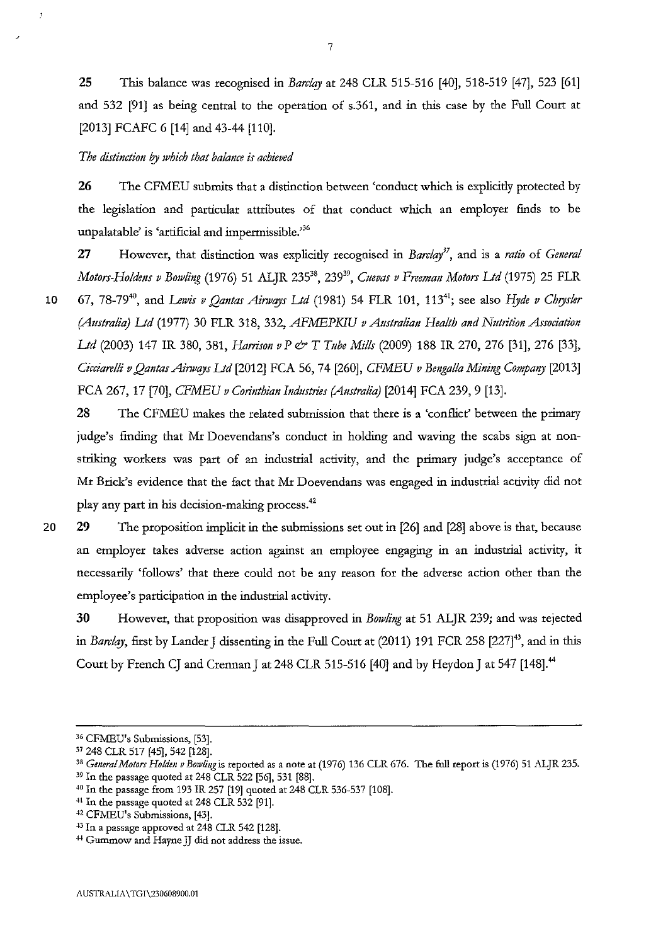25 This balance was recognised in *Barclay* at 248 CLR 515-516 [40], 518-519 [47], 523 [61] and 532 [91] as being central to the operation of s.361, and in this case by the Full Court at [2013] FCAFC 6 [14] and 43-44 [110].

*The distinction by which that balance is achieved* 

26 The CFMEU submits that a distinction between 'conduct which is explicidy protected by the legislation and particular attributes of that conduct which an employer finds to be unpalatable' is 'artificial and impermissible."<sup>36</sup>

27 However, that distinction was explicidy recognised in *Barclay",* and is a *ratio* of *General Motors-Holdens v Bmvling* (1976) 51 ALJR 23538, 23939, *C11evas v Freeman Motors Ltd* (1975) 25 FLR 10 67, 78-79<sup>40</sup>, and *Lewis v Qantas Airways Ltd* (1981) 54 FLR 101, 113<sup>41</sup>; see also *Hyde v Chrysler (A11stralia) Ltd* (1977) 30 FLR 318, 332, *AFMEPKIU v A11stralian Health and N11trition Association* 

*Ltd* (2003) 147 IR 380, 381, *Harrison v P & T Tube Mills* (2009) 188 IR 270, 276 [31], 276 [33], *Cicciarelli v Qantas Ainvays Ltd* [2012] FCA 56, 74 [260], *CFMEU v Bengal/a Mining ConljJany* [2013] FCA 267, 17 [70], *CFMEU v Corinthian Ind11stries (Attstralia)* [2014] FCA 239,9 [13].

28 The CFMEU makes the related submission that there is a 'conflict' between the primary judge's finding that Mr Doevendans's conduct in holding and waving the scabs sign at nonstriking workers was part of an industrial activity, and the primary judge's acceptance of Mr Brick's evidence that the fact that Mr Doevendans was engaged in industrial activity did not play any part in his decision-making process.<sup>42</sup>

20

29 The proposition implicit in the submissions set out in [26] and [28] above is that, because an employer takes adverse action against an employee engaging in an industrial activity, it necessarily 'follows' that there could not be any reason for the adverse action other than the employee's participation in the industrial activity.

**30** However, that proposition was disapproved in *Bowling* at 51 ALJR 239; and was rejected in *Barclay*, first by Lander J dissenting in the Full Court at (2011) 191 FCR 258 [227]<sup>43</sup>, and in this Court by French CJ and Crennan J at 248 CLR 515-516 [40] and by Heydon J at 547 [148].<sup>44</sup>

<sup>&</sup>lt;sup>36</sup> CFMEU's Submissions, [53].<br><sup>37</sup> 248 CLR 517 [45], 542 [128].<br><sup>38</sup> General Motors Holden v Bowling is reported as a note at (1976) 136 CLR 676. The full report is (1976) 51 ALJR 235.<br><sup>39</sup> In the passage quoted at 248 C

<sup>&</sup>lt;sup>40</sup> In the passage from 193 IR 257 [19] quoted at 248 CLR 536-537 [108].<br><sup>41</sup> In the passage quoted at 248 CLR 532 [91].<br><sup>42</sup> CFMEU's Submissions, [43].<br><sup>43</sup> In a passage approved at 248 CLR 542 [128].

**<sup>.</sup>w Gummow and Hayne JJ clid not address the issue.**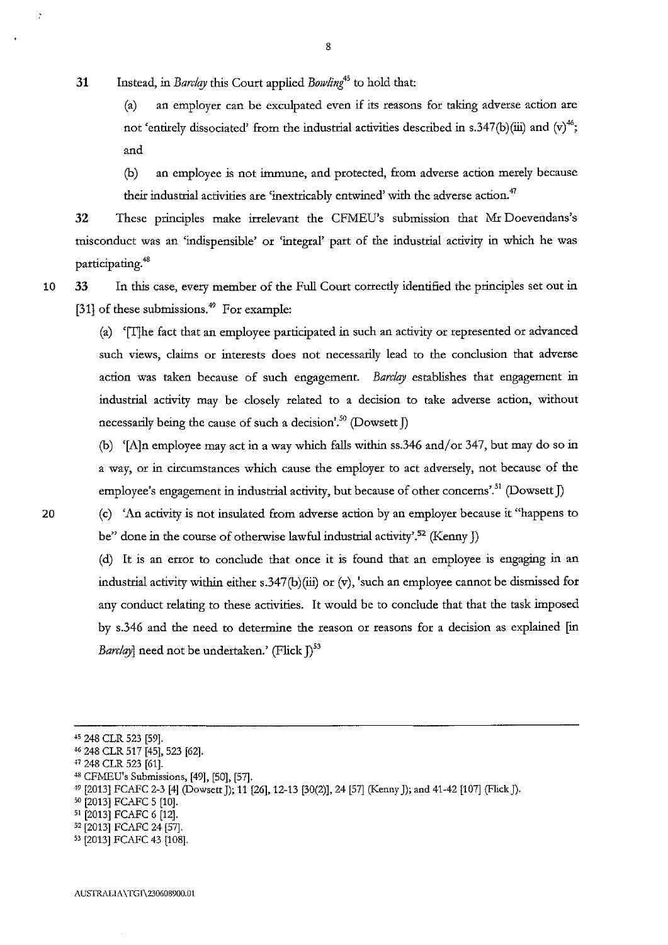31 Instead, in Barclay this Court applied Bowling<sup>45</sup> to hold that:

(a) an employer can be exculpated even if its reasons for taking adverse action are not 'entirely dissociated' from the industrial activities described in s.347(b)(iii) and  $(v)^{46}$ ; and

(b) an employee is not immune, and protected, from adverse action merely because their industrial activities are 'inextricably entwined' with the adverse action.<sup>47</sup>

32 These principles make irrelevant the CFMEU's submission that Mr Doevendans's misconduct was an 'indispensible' or 'integral' part of the industrial activity in which he was participating.<sup>48</sup>

10 33 In this case, every member of the Full Court correctly identified the principles set out in [31] of these submissions. $49$  For example:

> (a) '[T]he fact that an employee participated in such an activity or represented or advanced such views, claims or interests does not necessarily lead to the conclusion that adverse action was taken because of such engagement. Barclay establishes that engagement in industrial activity may be closely related to a decision to take adverse action, without necessarily being the cause of such a decision'.<sup>50</sup> (Dowsett  $\overline{I}$ )

> (b) '[A]n employee may act in a way which falls within ss.346 and/or 347, but may do so in a way, or in circumstances which cause the employer to act adversely, not because of the employee's engagement in industrial activity, but because of other concerns'.<sup>51</sup> (Dowsett J)

20 (c) 'An activity is not insulated from adverse action by an employer because it "happens to be" done in the course of otherwise lawful industrial activity'.<sup>52</sup> (Kenny J)

> (d) It is an error to conclude that once it is found that an employee is engaging in an industrial activity within either s.347(b)(iii) or (v), 'such an employee cannot be dismissed for any conduct relating to these activities. It would be to conclude that that the task imposed by s.346 and the need to determine the reason or reasons for a decision as explained [in *Barclay*] need not be undertaken.' (Flick  $I$ )<sup>53</sup>

<sup>&</sup>lt;sup>45</sup> 248 CLR 523 [59].

<sup>46 248</sup> CLR 517 [45], 523 [62].

<sup>+</sup>7 248 CLR 523 [61].

<sup>+</sup>8 CFMEU's Submissions, [49], [50], [57].

*<sup>+9</sup>* [2013] FCAFC 2-3 [4] (DowsettJ); 11 [26], 12-13 [30(2)], 24 [57] (Kenny]); and 41-42 [107] (Flick]).

so [2013] FCAFC 5 [10].

st [2013] FCAFC 6 [12].

<sup>52 [2013]</sup> FCAFC 24 [57].

ss [2013] FCAFC 43 [108].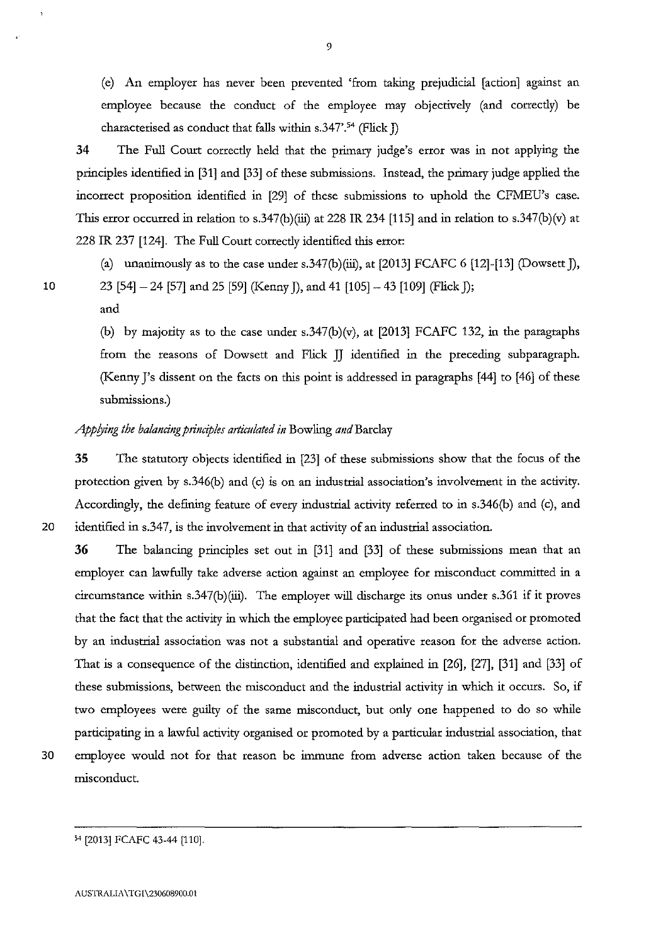(e) An employer has never been prevented 'from taking prejudicial [action] against an employee because the conduct of the employee may objectively (and correcdy) be characterised as conduct that falls within s.347'.<sup>54</sup> (Flick  $\tilde{J}$ )

34 The Full Court correcdy held that the primary judge's error was in not applying the principles identified in [31] and [33] of these submissions. Instead, the primary judge applied the incorrect proposition identified in [29] of these submissions to uphold the CFMEU's case. This error occurred in relation to s.347(b)(iii) at 228 IR 234 [115] and in relation to s.347(b)(v) at 228 IR 237 [124]. The Full Court correcdy identified this error:

(a) unanimously as to the case under s.347(b)(iii), at  $[2013]$  FCAFC 6  $[12]$ - $[13]$  (Dowsett J),

10 23 [54]  $- 24$  [57] and 25 [59] (Kenny J), and 41 [105]  $- 43$  [109] (Flick J);

and

(b) by majority as to the case under s.347(b)(v), at  $[2013]$  FCAFC 132, in the paragraphs from the reasons of Dowsett and Flick JJ identified in the preceding subparagraph. (Kenny J's dissent on the facts on this point is addressed in paragraphs [44] to [46] of these submissions.)

# *Applying the balancing principles articulated in* Bowling *and* Barclay

35 The statutory objects identified in [23] of these submissions show that the focus of the protection given by s.346(b) and (c) is on an industtial association's involvement in the activity. Accordingly, the defining feature of every industrial activity referred to in s.346(b) and (c), and 20 identified in s.347, is the involvement in that activity of an industrial association.

36 The balancing principles set out in [31] and [33] of these submissions mean that an employer can lawfully take adverse action against an employee for misconduct committed in a circumstance within s.347(b)(iii). The employer will discharge its onus under s.361 if it proves that the fact that the activity in which the employee participated had been organised or promoted by an industrial association was not a substantial and operative reason for the adverse action. That is a consequence of the distinction, identified and explained in [26], [27], [31] and [33] of these submissions, between the misconduct and the industrial activity in which it occurs. So, if two employees were guilty of the same misconduct, but only one happened to do so while participating in a lawful activity organised or promoted by a particular industrial association, that 30 employee would not for that reason be immune from adverse action taken because of the misconduct.

<sup>54 [2013]</sup> FCAFC 43-44 [110].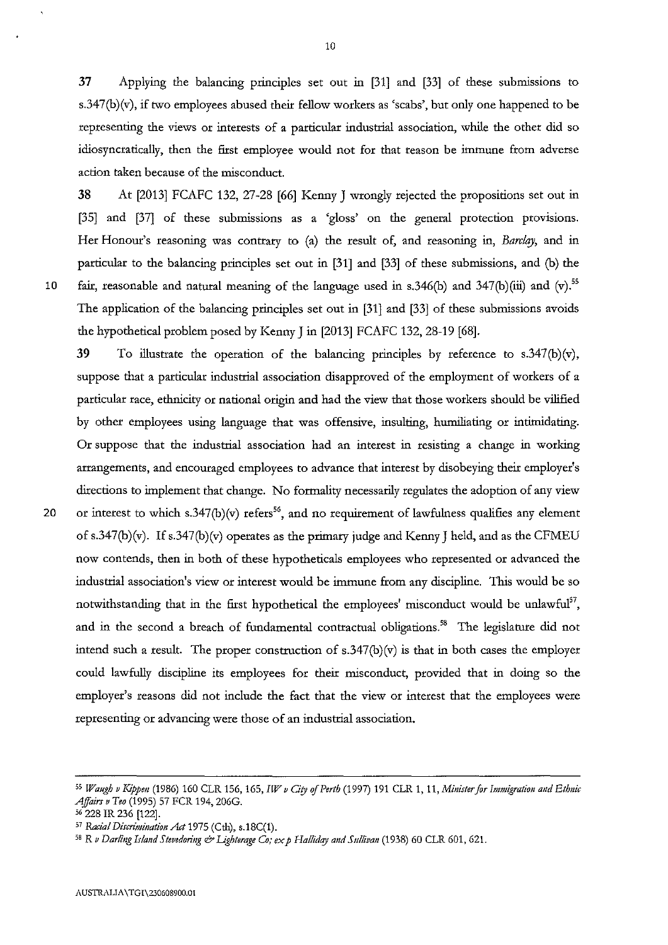37 Applying the balancing principles set out 1n [31] and [33] of these submissions to s.347(b)(v), if two employees abused their fellow workers as 'scabs', but only one happened to be representing the views or interests of a particular industrial association, while the other did so idiosyncratically, then the first employee would not for that reason be immune from adverse action taken because of the misconduct.

38 At [2013] FCAFC 132, 27-28 [66] Kenny J wrongly rejected the propositions set out in [35] and [37] of these submissions as a 'gloss' on the general protection provisions. Her Honour's reasoning was contrary to (a) the result of, and reasoning in, *Barclay,* and in particular to the balancing principles set out in [31] and [33] of these submissions, and (b) the 10 fair, reasonable and natural meaning of the language used in s.346(b) and 347(b)(iii) and (v).<sup>55</sup> The application of the balancing principles set out in [31] and [33] of these submissions avoids the hypothetical problem posed by Kenny J in [2013] FCAFC 132,28-19 [68].

39 To illustrate the operation of the balancing principles by reference to s.347(b)(v), suppose that a particular industrial association disapproved of the employment of workers of a particular race, ethnicity or national origin and had the view that those workers should be vilified by other employees using language that was offensive, insulting, humiliating or intimidating. Or suppose that the industrial association had an interest in resisting a change in working arrangements, and encouraged employees to advance that interest by disobeying their employer's directions to implement that change. No formality necessarily regulates the adoption of any view 20 or interest to which s.347(b)(v) refers<sup>56</sup>, and no requirement of lawfulness qualifies any element of s.347(b)(v). If s.347(b)(v) operates as the primary judge and Kenny J held, and as the CFMEU now contends, then in both of these hypotheticals employees who represented or advanced the industtial association's view or interest would be immune from any discipline. This would be so notwithstanding that in the first hypothetical the employees' misconduct would be unlawful $57$ , and in the second a breach of fundamental contractual obligations.<sup>58</sup> The legislature did not intend such a result. The proper construction of  $s.347(b)(v)$  is that in both cases the employer could lawfully discipline its employees for their misconduct, provided that in doing so the employer's reasons did not include the fact that the view or interest that the employees were representing or advancing were those of an industrial association.

56 228 IR 236 [122].

<sup>55</sup> Waugh v Kippen (1986) 160 CLR 156, 165, *IW v City of Perth* (1997) 191 CLR 1, 11, *Minister for Immigration and Ethnic Affairs v Teo* (1995) 57 FCR 194, 206G.

<sup>&</sup>lt;sup>57</sup> Racial Discrimination Act 1975 (Cth), s.18C(1).

<sup>&</sup>lt;sup>58</sup> R *v Darling Island Stevedoring & Lighterage Co; ex p Halliday and Sullivan* (1938) 60 CLR 601, 621.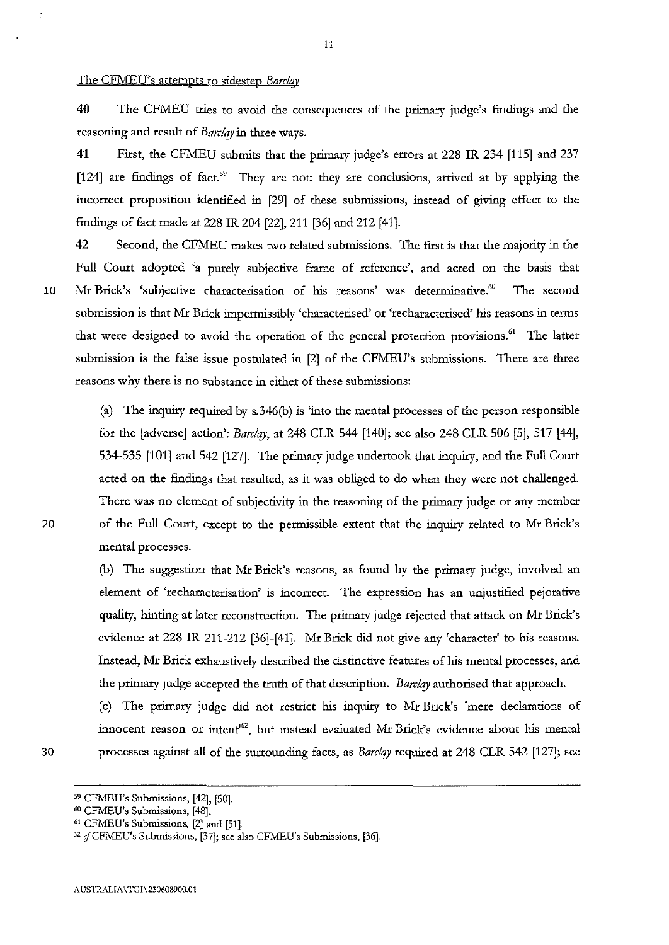#### The CFMEU's attempts to sidestep *Barclay*

**40** The CFMEU tries to avoid the consequences of the primary judge's findings and the reasoning and result of *Barclay* in three ways.

**41** First, the CFMEU submits that the primary judge's errors at 228 IR 234 [115] and 237 [124] are findings of fact.<sup>59</sup> They are not: they are conclusions, arrived at by applying the incorrect proposition identified in [29] of these submissions, instead of giving effect to the findings of fact made at 228 IR 204 [22], 211 [36] and 212 [41].

**42** Second, the CFMEU makes two related submissions. The first is that the majority in the Full Court adopted 'a purely subjective frame of reference', and acted on the basis that 10 Mr Brick's 'subjective characterisation of his reasons' was determinative.<sup>60</sup> The second submission is that Mr Brick impermissibly 'characterised' or 'recharacterised' his reasons in terms that were designed to avoid the operation of the general protection provisions.<sup>61</sup> The latter submission is the false issue postulated in [2] of the CFMEU's submissions. There are three reasons why there is no substance in either of these submissions:

(a) The inquiry required by s.346(b) is 'into the mental processes of the person responsible for the [adverse] action': *Barclay,* at 248 CLR 544 [140]; see also 248 CLR 506 [5], 517 [44], 534-535 **[101]** and 542 [127]. The primary judge undertook that inquiry, and the Full Court acted on the findings that resulted, as it was obliged to do when they were not challenged. There was no element of subjectivity in the reasoning of the primary judge or any member 20 of the Full Court, except to the permissible extent that the inquiry related to Mr Brick's mental processes.

> (b) The suggestion that Mr Brick's reasons, as found by the primary judge, involved an element of 'recharacterisation' is incorrect. The expression has an unjustified pejorative quality, hinting at later reconstruction. The primary judge rejected that attack on Mr Brick's evidence at 228 IR 211-212 [36]-[41]. Mr Brick did not give any 'character' to his reasons. Instead, Mr Brick exhaustively described the distinctive features of his mental processes, and the primary judge accepted the truth of that description. *Barclay* authorised that approach.

(c) The primary judge did not restrict his inquiry to Mr Brick's 'mere declarations of innocent reason or intent<sup>62</sup>, but instead evaluated Mr Brick's evidence about his mental 30 processes against all of the surrounding facts, as *Barclay* required at 248 CLR 542 [127]; see

<sup>59</sup> CFMEU's Submissions, [42], [50].

**<sup>60</sup> CFNIEU's Submissions, [48].** 

 $^{62}$  of CFMEU's Submissions, [37]; see also CFMEU's Submissions, [36].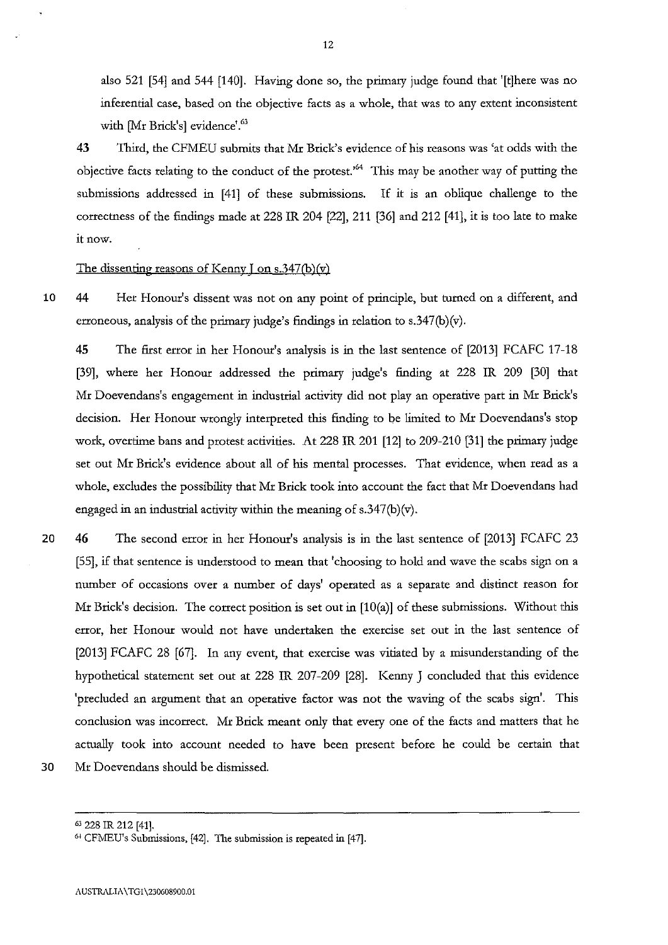also 521 [54] and 544 [140]. Having done so, the primary judge found that '[t]here was no inferential case, based on the objective facts as a whole, that was to any extent inconsistent with [Mr Brick's] evidence'.<sup>63</sup>

43 Third, the CFMEU submits that Mr Brick's evidence of his reasons was 'at odds with the objective facts relating to the conduct of the protest.'64 This may be another way of putting the submissions addressed in [41] of these submissions. If it is an oblique challenge to the correctness of the findings made at 228 IR 204 [22], 211 [36] and 212 [41], it is too late to make it now.

#### The dissenting reasons of Kenny I on  $s.347(b)(v)$

10 **44** Her Honour's dissent was not on any point of principle, but turned on a different, and erroneous, analysis of the primary judge's findings in relation to s.347(b)(v).

**45** The first error in her Honour's analysis is in the last sentence of [2013] FCAFC 17-18 [39], where her Honour addressed the primary judge's finding at 228 IR 209 [30] that Mr Doevendans's engagement in industrial activity did not play an operative part in Mr Brick's decision. Her Honour wrongly interpreted this finding to be limited to Mr Doevendans's stop work, overtime bans and protest activities. At 228 IR 201 [12] to 209-210 [31] the primary judge set out Mr Brick's evidence about all of his mental processes. That evidence, when read as a whole, excludes the possibility that Mr Brick took into account the fact that Mr Doevendans had engaged in an industrial activity within the meaning of  $s.347(b)(v)$ .

20 46 The second error in her Honour's analysis is in the last sentence of [2013] FCAFC 23 [55], if that sentence is understood to mean that 'choosing to hold and wave the scabs sign on a number of occasions over a number of days' operated as a separate and distinct reason for Mr Brick's decision. The correct position is set out in [10(a)] of these submissions. Without this error, her Honour would not have undertaken the exercise set out in the last sentence of [2013] FCAFC 28 [67]. In any event, that exercise was vitiated by a misunderstanding of the hypothetical statement set out at 228 IR 207-209 [28]. Kenny J concluded that this evidence 'precluded an argument that an operative factor was not the waving of the scabs sign'. This conclusion was incorrect. Mr Brick meant only that every one of the facts and matters that he actually took into account needed to have been present before he could be certain that 30 Mr Doevendans should be dismissed.

<sup>&</sup>lt;sup>64</sup> CFMEU's Submissions, [42]. The submission is repeated in [47].